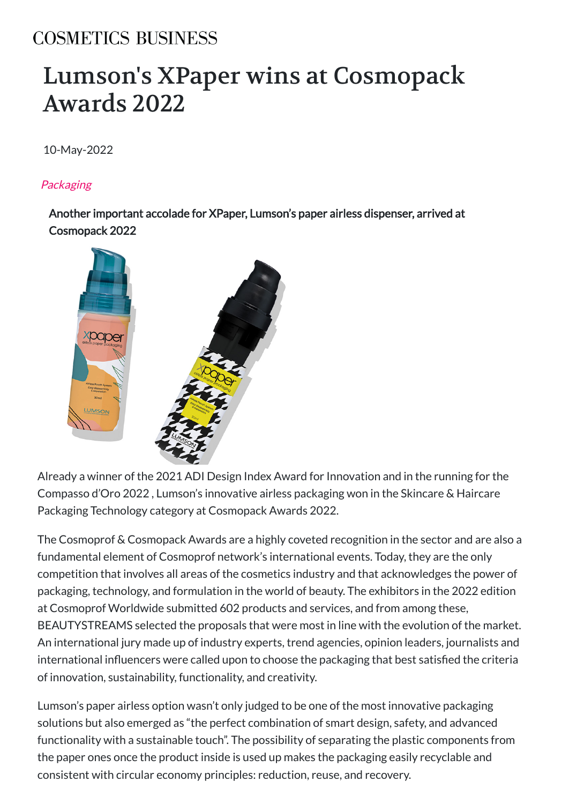## **COSMETICS BUSINESS**

## [Lumson's XPaper wins at Cosmopack](https://cosmeticsbusiness.com/) Awards 2022

10-May-2022

## **Packaging**

Another important accolade for XPaper, Lumson's paper airless dispenser, arrived at Cosmopack 2022



Already a winner of the 2021 ADI Design Index Award for Innovation and in the running for the Compasso d'Oro 2022 , Lumson's innovative airless packaging won in the Skincare & Haircare Packaging Technology category at Cosmopack Awards 2022.

The Cosmoprof & Cosmopack Awards are a highly coveted recognition in the sector and are also a fundamental element of Cosmoprof network's international events. Today, they are the only competition that involves all areas of the cosmetics industry and that acknowledges the power of packaging, technology, and formulation in the world of beauty. The exhibitors in the 2022 edition at Cosmoprof Worldwide submitted 602 products and services, and from among these, BEAUTYSTREAMS selected the proposals that were most in line with the evolution of the market. An international jury made up of industry experts, trend agencies, opinion leaders, journalists and international influencers were called upon to choose the packaging that best satisfied the criteria of innovation, sustainability, functionality, and creativity.

Lumson's paper airless option wasn't only judged to be one of the most innovative packaging solutions but also emerged as "the perfect combination of smart design, safety, and advanced functionality with a sustainable touch". The possibility of separating the plastic components from the paper ones once the product inside is used up makes the packaging easily recyclable and consistent with circular economy principles: reduction, reuse, and recovery.